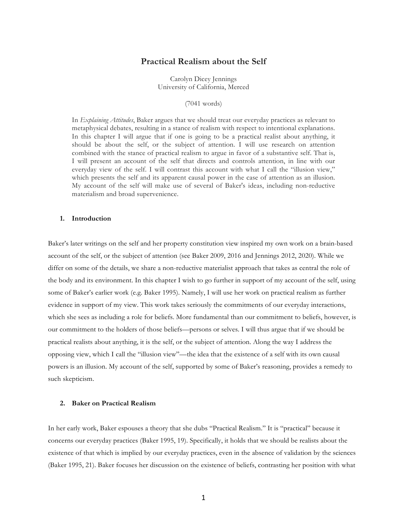# **Practical Realism about the Self**

Carolyn Dicey Jennings University of California, Merced

(7041 words)

In *Explaining Attitudes*, Baker argues that we should treat our everyday practices as relevant to metaphysical debates, resulting in a stance of realism with respect to intentional explanations. In this chapter I will argue that if one is going to be a practical realist about anything, it should be about the self, or the subject of attention. I will use research on attention combined with the stance of practical realism to argue in favor of a substantive self. That is, I will present an account of the self that directs and controls attention, in line with our everyday view of the self. I will contrast this account with what I call the "illusion view," which presents the self and its apparent causal power in the case of attention as an illusion. My account of the self will make use of several of Baker's ideas, including non-reductive materialism and broad supervenience.

# **1. Introduction**

Baker's later writings on the self and her property constitution view inspired my own work on a brain-based account of the self, or the subject of attention (see Baker 2009, 2016 and Jennings 2012, 2020). While we differ on some of the details, we share a non-reductive materialist approach that takes as central the role of the body and its environment. In this chapter I wish to go further in support of my account of the self, using some of Baker's earlier work (e.g. Baker 1995). Namely, I will use her work on practical realism as further evidence in support of my view. This work takes seriously the commitments of our everyday interactions, which she sees as including a role for beliefs. More fundamental than our commitment to beliefs, however, is our commitment to the holders of those beliefs—persons or selves. I will thus argue that if we should be practical realists about anything, it is the self, or the subject of attention. Along the way I address the opposing view, which I call the "illusion view"—the idea that the existence of a self with its own causal powers is an illusion. My account of the self, supported by some of Baker's reasoning, provides a remedy to such skepticism.

## **2. Baker on Practical Realism**

In her early work, Baker espouses a theory that she dubs "Practical Realism." It is "practical" because it concerns our everyday practices (Baker 1995, 19). Specifically, it holds that we should be realists about the existence of that which is implied by our everyday practices, even in the absence of validation by the sciences (Baker 1995, 21). Baker focuses her discussion on the existence of beliefs, contrasting her position with what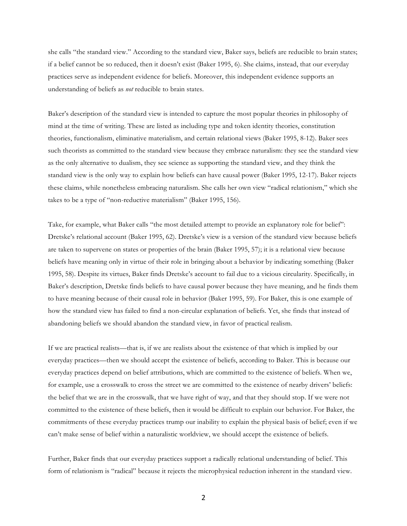she calls "the standard view." According to the standard view, Baker says, beliefs are reducible to brain states; if a belief cannot be so reduced, then it doesn't exist (Baker 1995, 6). She claims, instead, that our everyday practices serve as independent evidence for beliefs. Moreover, this independent evidence supports an understanding of beliefs as *not* reducible to brain states.

Baker's description of the standard view is intended to capture the most popular theories in philosophy of mind at the time of writing. These are listed as including type and token identity theories, constitution theories, functionalism, eliminative materialism, and certain relational views (Baker 1995, 8-12). Baker sees such theorists as committed to the standard view because they embrace naturalism: they see the standard view as the only alternative to dualism, they see science as supporting the standard view, and they think the standard view is the only way to explain how beliefs can have causal power (Baker 1995, 12-17). Baker rejects these claims, while nonetheless embracing naturalism. She calls her own view "radical relationism," which she takes to be a type of "non-reductive materialism" (Baker 1995, 156).

Take, for example, what Baker calls "the most detailed attempt to provide an explanatory role for belief": Dretske's relational account (Baker 1995, 62). Dretske's view is a version of the standard view because beliefs are taken to supervene on states or properties of the brain (Baker 1995, 57); it is a relational view because beliefs have meaning only in virtue of their role in bringing about a behavior by indicating something (Baker 1995, 58). Despite its virtues, Baker finds Dretske's account to fail due to a vicious circularity. Specifically, in Baker's description, Dretske finds beliefs to have causal power because they have meaning, and he finds them to have meaning because of their causal role in behavior (Baker 1995, 59). For Baker, this is one example of how the standard view has failed to find a non-circular explanation of beliefs. Yet, she finds that instead of abandoning beliefs we should abandon the standard view, in favor of practical realism.

If we are practical realists—that is, if we are realists about the existence of that which is implied by our everyday practices—then we should accept the existence of beliefs, according to Baker. This is because our everyday practices depend on belief attributions, which are committed to the existence of beliefs. When we, for example, use a crosswalk to cross the street we are committed to the existence of nearby drivers' beliefs: the belief that we are in the crosswalk, that we have right of way, and that they should stop. If we were not committed to the existence of these beliefs, then it would be difficult to explain our behavior. For Baker, the commitments of these everyday practices trump our inability to explain the physical basis of belief; even if we can't make sense of belief within a naturalistic worldview, we should accept the existence of beliefs.

Further, Baker finds that our everyday practices support a radically relational understanding of belief. This form of relationism is "radical" because it rejects the microphysical reduction inherent in the standard view.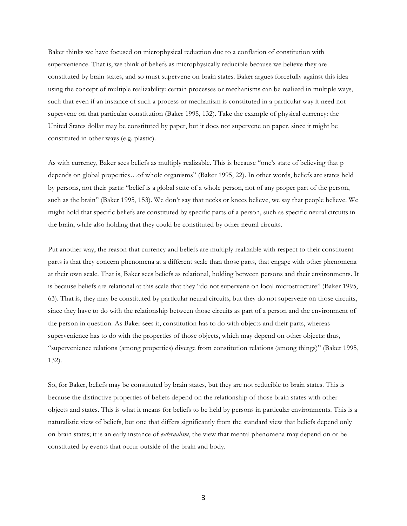Baker thinks we have focused on microphysical reduction due to a conflation of constitution with supervenience. That is, we think of beliefs as microphysically reducible because we believe they are constituted by brain states, and so must supervene on brain states. Baker argues forcefully against this idea using the concept of multiple realizability: certain processes or mechanisms can be realized in multiple ways, such that even if an instance of such a process or mechanism is constituted in a particular way it need not supervene on that particular constitution (Baker 1995, 132). Take the example of physical currency: the United States dollar may be constituted by paper, but it does not supervene on paper, since it might be constituted in other ways (e.g. plastic).

As with currency, Baker sees beliefs as multiply realizable. This is because "one's state of believing that p depends on global properties…of whole organisms" (Baker 1995, 22). In other words, beliefs are states held by persons, not their parts: "belief is a global state of a whole person, not of any proper part of the person, such as the brain" (Baker 1995, 153). We don't say that necks or knees believe, we say that people believe. We might hold that specific beliefs are constituted by specific parts of a person, such as specific neural circuits in the brain, while also holding that they could be constituted by other neural circuits.

Put another way, the reason that currency and beliefs are multiply realizable with respect to their constituent parts is that they concern phenomena at a different scale than those parts, that engage with other phenomena at their own scale. That is, Baker sees beliefs as relational, holding between persons and their environments. It is because beliefs are relational at this scale that they "do not supervene on local microstructure" (Baker 1995, 63). That is, they may be constituted by particular neural circuits, but they do not supervene on those circuits, since they have to do with the relationship between those circuits as part of a person and the environment of the person in question. As Baker sees it, constitution has to do with objects and their parts, whereas supervenience has to do with the properties of those objects, which may depend on other objects: thus, "supervenience relations (among properties) diverge from constitution relations (among things)" (Baker 1995, 132).

So, for Baker, beliefs may be constituted by brain states, but they are not reducible to brain states. This is because the distinctive properties of beliefs depend on the relationship of those brain states with other objects and states. This is what it means for beliefs to be held by persons in particular environments. This is a naturalistic view of beliefs, but one that differs significantly from the standard view that beliefs depend only on brain states; it is an early instance of *externalism*, the view that mental phenomena may depend on or be constituted by events that occur outside of the brain and body.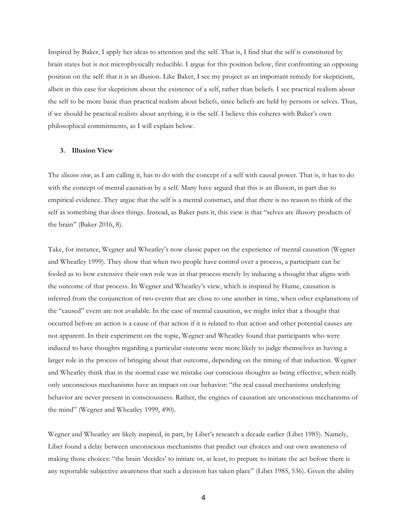Inspired by Baker, I apply her ideas to attention and the self. That is, I find that the self is constituted by brain states but is not microphysically reducible. I argue for this position below, first confronting an opposing position on the self: that it is an illusion. Like Baker, I see my project as an important remedy for skepticism, albeit in this case for skepticism about the existence of a self, rather than beliefs. I see practical realism about the self to be more basic than practical realism about beliefs, since beliefs are held by persons or selves. Thus, if we should be practical realists about anything, it is the self. I believe this coheres with Baker's own philosophical commitments, as I will explain below.

### **3. Illusion View**

The *illusion view*, as I am calling it, has to do with the concept of a self with causal power. That is, it has to do with the concept of mental causation by a self. Many have argued that this is an illusion, in part due to empirical evidence. They argue that the self is a mental construct, and that there is no reason to think of the self as something that does things. Instead, as Baker puts it, this view is that "selves are illusory products of the brain" (Baker 2016, 8).

Take, for instance, Wegner and Wheatley's now classic paper on the experience of mental causation (Wegner and Wheatley 1999). They show that when two people have control over a process, a participant can be fooled as to how extensive their own role was in that process merely by inducing a thought that aligns with the outcome of that process. In Wegner and Wheatley's view, which is inspired by Hume, causation is inferred from the conjunction of two events that are close to one another in time, when other explanations of the "caused" event are not available. In the case of mental causation, we might infer that a thought that occurred before an action is a cause of that action if it is related to that action and other potential causes are not apparent. In their experiment on the topic, Wegner and Wheatley found that participants who were induced to have thoughts regarding a particular outcome were more likely to judge themselves as having a larger role in the process of bringing about that outcome, depending on the timing of that induction. Wegner and Wheatley think that in the normal case we mistake our conscious thoughts as being effective, when really only unconscious mechanisms have an impact on our behavior: "the real causal mechanisms underlying behavior are never present in consciousness. Rather, the engines of causation are unconscious mechanisms of the mind" (Wegner and Wheatley 1999, 490).

Wegner and Wheatley are likely inspired, in part, by Libet's research a decade earlier (Libet 1985). Namely, Libet found a delay between unconscious mechanisms that predict our choices and our own awareness of making those choices: "the brain 'decides' to initiate or, at least, to prepare to initiate the act before there is any reportable subjective awareness that such a decision has taken place" (Libet 1985, 536). Given the ability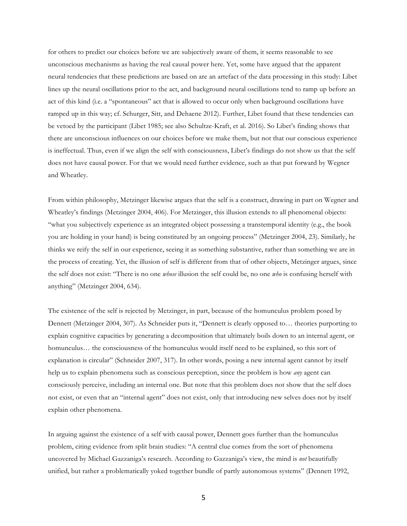for others to predict our choices before we are subjectively aware of them, it seems reasonable to see unconscious mechanisms as having the real causal power here. Yet, some have argued that the apparent neural tendencies that these predictions are based on are an artefact of the data processing in this study: Libet lines up the neural oscillations prior to the act, and background neural oscillations tend to ramp up before an act of this kind (i.e. a "spontaneous" act that is allowed to occur only when background oscillations have ramped up in this way; cf. Schurger, Sitt, and Dehaene 2012). Further, Libet found that these tendencies can be vetoed by the participant (Libet 1985; see also Schultze-Kraft, et al. 2016). So Libet's finding shows that there are unconscious influences on our choices before we make them, but not that our conscious experience is ineffectual. Thus, even if we align the self with consciousness, Libet's findings do not show us that the self does not have causal power. For that we would need further evidence, such as that put forward by Wegner and Wheatley.

From within philosophy, Metzinger likewise argues that the self is a construct, drawing in part on Wegner and Wheatley's findings (Metzinger 2004, 406). For Metzinger, this illusion extends to all phenomenal objects: "what you subjectively experience as an integrated object possessing a transtemporal identity (e.g., the book you are holding in your hand) is being constituted by an ongoing process" (Metzinger 2004, 23). Similarly, he thinks we reify the self in our experience, seeing it as something substantive, rather than something we are in the process of creating. Yet, the illusion of self is different from that of other objects, Metzinger argues, since the self does not exist: "There is no one *whose* illusion the self could be, no one *who* is confusing herself with anything" (Metzinger 2004, 634).

The existence of the self is rejected by Metzinger, in part, because of the homunculus problem posed by Dennett (Metzinger 2004, 307). As Schneider puts it, "Dennett is clearly opposed to… theories purporting to explain cognitive capacities by generating a decomposition that ultimately boils down to an internal agent, or homunculus… the consciousness of the homunculus would itself need to be explained, so this sort of explanation is circular" (Schneider 2007, 317). In other words, posing a new internal agent cannot by itself help us to explain phenomena such as conscious perception, since the problem is how *any* agent can consciously perceive, including an internal one. But note that this problem does not show that the self does not exist, or even that an "internal agent" does not exist, only that introducing new selves does not by itself explain other phenomena.

In arguing against the existence of a self with causal power, Dennett goes further than the homunculus problem, citing evidence from split brain studies: "A central clue comes from the sort of phenomena uncovered by Michael Gazzaniga's research. According to Gazzaniga's view, the mind is *not* beautifully unified, but rather a problematically yoked together bundle of partly autonomous systems" (Dennett 1992,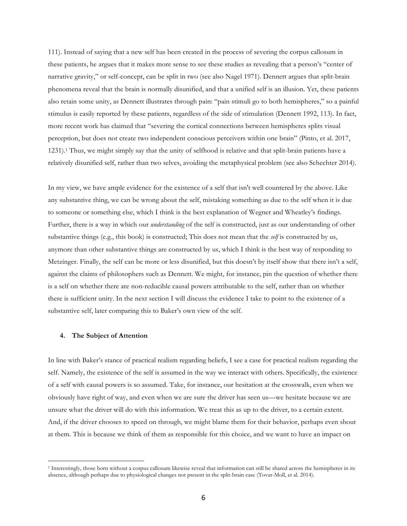111). Instead of saying that a new self has been created in the process of severing the corpus callosum in these patients, he argues that it makes more sense to see these studies as revealing that a person's "center of narrative gravity," or self-concept, can be split in two (see also Nagel 1971). Dennett argues that split-brain phenomena reveal that the brain is normally disunified, and that a unified self is an illusion. Yet, these patients also retain some unity, as Dennett illustrates through pain: "pain stimuli go to both hemispheres," so a painful stimulus is easily reported by these patients, regardless of the side of stimulation (Dennett 1992, 113). In fact, more recent work has claimed that "severing the cortical connections between hemispheres splits visual perception, but does not create two independent conscious perceivers within one brain" (Pinto, et al. 2017, 1231).1 Thus, we might simply say that the unity of selfhood is relative and that split-brain patients have a relatively disunified self, rather than two selves, avoiding the metaphysical problem (see also Schechter 2014).

In my view, we have ample evidence for the existence of a self that isn't well countered by the above. Like any substantive thing, we can be wrong about the self, mistaking something as due to the self when it is due to someone or something else, which I think is the best explanation of Wegner and Wheatley's findings. Further, there is a way in which our *understanding* of the self is constructed, just as our understanding of other substantive things (e.g., this book) is constructed; This does not mean that the *self* is constructed by us, anymore than other substantive things are constructed by us, which I think is the best way of responding to Metzinger. Finally, the self can be more or less disunified, but this doesn't by itself show that there isn't a self, against the claims of philosophers such as Dennett. We might, for instance, pin the question of whether there is a self on whether there are non-reducible causal powers attributable to the self, rather than on whether there is sufficient unity. In the next section I will discuss the evidence I take to point to the existence of a substantive self, later comparing this to Baker's own view of the self.

## **4. The Subject of Attention**

 

In line with Baker's stance of practical realism regarding beliefs, I see a case for practical realism regarding the self. Namely, the existence of the self is assumed in the way we interact with others. Specifically, the existence of a self with causal powers is so assumed. Take, for instance, our hesitation at the crosswalk, even when we obviously have right of way, and even when we are sure the driver has seen us—we hesitate because we are unsure what the driver will do with this information. We treat this as up to the driver, to a certain extent. And, if the driver chooses to speed on through, we might blame them for their behavior, perhaps even shout at them. This is because we think of them as responsible for this choice, and we want to have an impact on

<sup>1</sup> Interestingly, those born without a corpus callosum likewise reveal that information can still be shared across the hemispheres in its absence, although perhaps due to physiological changes not present in the split-brain case (Tovar-Moll, et al. 2014).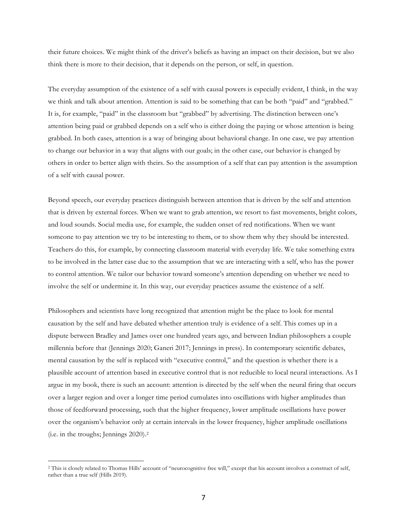their future choices. We might think of the driver's beliefs as having an impact on their decision, but we also think there is more to their decision, that it depends on the person, or self, in question.

The everyday assumption of the existence of a self with causal powers is especially evident, I think, in the way we think and talk about attention. Attention is said to be something that can be both "paid" and "grabbed." It is, for example, "paid" in the classroom but "grabbed" by advertising. The distinction between one's attention being paid or grabbed depends on a self who is either doing the paying or whose attention is being grabbed. In both cases, attention is a way of bringing about behavioral change. In one case, we pay attention to change our behavior in a way that aligns with our goals; in the other case, our behavior is changed by others in order to better align with theirs. So the assumption of a self that can pay attention is the assumption of a self with causal power.

Beyond speech, our everyday practices distinguish between attention that is driven by the self and attention that is driven by external forces. When we want to grab attention, we resort to fast movements, bright colors, and loud sounds. Social media use, for example, the sudden onset of red notifications. When we want someone to pay attention we try to be interesting to them, or to show them why they should be interested. Teachers do this, for example, by connecting classroom material with everyday life. We take something extra to be involved in the latter case due to the assumption that we are interacting with a self, who has the power to control attention. We tailor our behavior toward someone's attention depending on whether we need to involve the self or undermine it. In this way, our everyday practices assume the existence of a self.

Philosophers and scientists have long recognized that attention might be the place to look for mental causation by the self and have debated whether attention truly is evidence of a self. This comes up in a dispute between Bradley and James over one hundred years ago, and between Indian philosophers a couple millennia before that (Jennings 2020; Ganeri 2017; Jennings in press). In contemporary scientific debates, mental causation by the self is replaced with "executive control," and the question is whether there is a plausible account of attention based in executive control that is not reducible to local neural interactions. As I argue in my book, there is such an account: attention is directed by the self when the neural firing that occurs over a larger region and over a longer time period cumulates into oscillations with higher amplitudes than those of feedforward processing, such that the higher frequency, lower amplitude oscillations have power over the organism's behavior only at certain intervals in the lower frequency, higher amplitude oscillations (i.e. in the troughs; Jennings 2020).2

<sup>2</sup> This is closely related to Thomas Hills' account of "neurocognitive free will," except that his account involves a construct of self, rather than a true self (Hills 2019).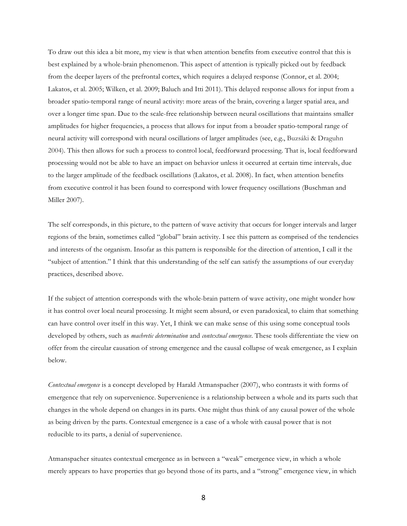To draw out this idea a bit more, my view is that when attention benefits from executive control that this is best explained by a whole-brain phenomenon. This aspect of attention is typically picked out by feedback from the deeper layers of the prefrontal cortex, which requires a delayed response (Connor, et al. 2004; Lakatos, et al. 2005; Wilken, et al. 2009; Baluch and Itti 2011). This delayed response allows for input from a broader spatio-temporal range of neural activity: more areas of the brain, covering a larger spatial area, and over a longer time span. Due to the scale-free relationship between neural oscillations that maintains smaller amplitudes for higher frequencies, a process that allows for input from a broader spatio-temporal range of neural activity will correspond with neural oscillations of larger amplitudes (see, e.g., Buzsáki & Draguhn 2004). This then allows for such a process to control local, feedforward processing. That is, local feedforward processing would not be able to have an impact on behavior unless it occurred at certain time intervals, due to the larger amplitude of the feedback oscillations (Lakatos, et al. 2008). In fact, when attention benefits from executive control it has been found to correspond with lower frequency oscillations (Buschman and Miller 2007).

The self corresponds, in this picture, to the pattern of wave activity that occurs for longer intervals and larger regions of the brain, sometimes called "global" brain activity. I see this pattern as comprised of the tendencies and interests of the organism. Insofar as this pattern is responsible for the direction of attention, I call it the "subject of attention." I think that this understanding of the self can satisfy the assumptions of our everyday practices, described above.

If the subject of attention corresponds with the whole-brain pattern of wave activity, one might wonder how it has control over local neural processing. It might seem absurd, or even paradoxical, to claim that something can have control over itself in this way. Yet, I think we can make sense of this using some conceptual tools developed by others, such as *machretic determination* and *contextual emergence*. These tools differentiate the view on offer from the circular causation of strong emergence and the causal collapse of weak emergence, as I explain below.

*Contextual emergence* is a concept developed by Harald Atmanspacher (2007), who contrasts it with forms of emergence that rely on supervenience. Supervenience is a relationship between a whole and its parts such that changes in the whole depend on changes in its parts. One might thus think of any causal power of the whole as being driven by the parts. Contextual emergence is a case of a whole with causal power that is not reducible to its parts, a denial of supervenience.

Atmanspacher situates contextual emergence as in between a "weak" emergence view, in which a whole merely appears to have properties that go beyond those of its parts, and a "strong" emergence view, in which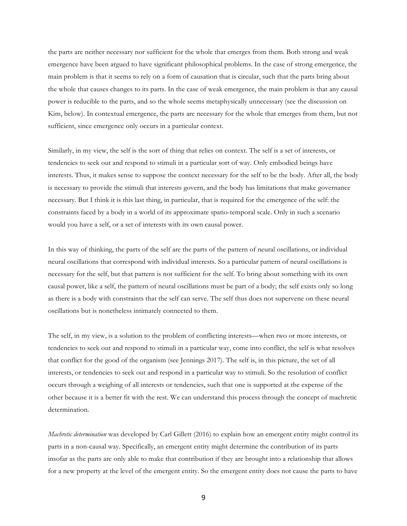the parts are neither necessary nor sufficient for the whole that emerges from them. Both strong and weak emergence have been argued to have significant philosophical problems. In the case of strong emergence, the main problem is that it seems to rely on a form of causation that is circular, such that the parts bring about the whole that causes changes to its parts. In the case of weak emergence, the main problem is that any causal power is reducible to the parts, and so the whole seems metaphysically unnecessary (see the discussion on Kim, below). In contextual emergence, the parts are necessary for the whole that emerges from them, but not sufficient, since emergence only occurs in a particular context.

Similarly, in my view, the self is the sort of thing that relies on context. The self is a set of interests, or tendencies to seek out and respond to stimuli in a particular sort of way. Only embodied beings have interests. Thus, it makes sense to suppose the context necessary for the self to be the body. After all, the body is necessary to provide the stimuli that interests govern, and the body has limitations that make governance necessary. But I think it is this last thing, in particular, that is required for the emergence of the self: the constraints faced by a body in a world of its approximate spatio-temporal scale. Only in such a scenario would you have a self, or a set of interests with its own causal power.

In this way of thinking, the parts of the self are the parts of the pattern of neural oscillations, or individual neural oscillations that correspond with individual interests. So a particular pattern of neural oscillations is necessary for the self, but that pattern is not sufficient for the self. To bring about something with its own causal power, like a self, the pattern of neural oscillations must be part of a body; the self exists only so long as there is a body with constraints that the self can serve. The self thus does not supervene on these neural oscillations but is nonetheless intimately connected to them.

The self, in my view, is a solution to the problem of conflicting interests—when two or more interests, or tendencies to seek out and respond to stimuli in a particular way, come into conflict, the self is what resolves that conflict for the good of the organism (see Jennings 2017). The self is, in this picture, the set of all interests, or tendencies to seek out and respond in a particular way to stimuli. So the resolution of conflict occurs through a weighing of all interests or tendencies, such that one is supported at the expense of the other because it is a better fit with the rest. We can understand this process through the concept of machretic determination.

*Machretic determination* was developed by Carl Gillett (2016) to explain how an emergent entity might control its parts in a non-causal way. Specifically, an emergent entity might determine the contribution of its parts insofar as the parts are only able to make that contribution if they are brought into a relationship that allows for a new property at the level of the emergent entity. So the emergent entity does not cause the parts to have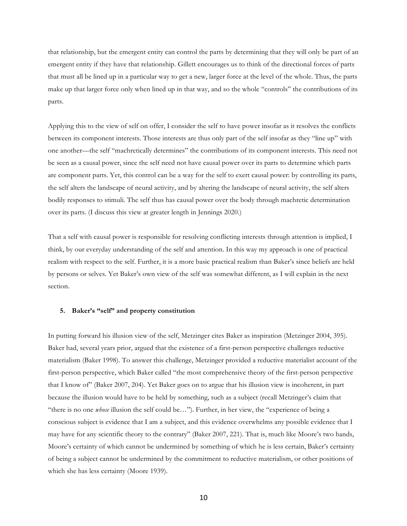that relationship, but the emergent entity can control the parts by determining that they will only be part of an emergent entity if they have that relationship. Gillett encourages us to think of the directional forces of parts that must all be lined up in a particular way to get a new, larger force at the level of the whole. Thus, the parts make up that larger force only when lined up in that way, and so the whole "controls" the contributions of its parts.

Applying this to the view of self on offer, I consider the self to have power insofar as it resolves the conflicts between its component interests. Those interests are thus only part of the self insofar as they "line up" with one another—the self "machretically determines" the contributions of its component interests. This need not be seen as a causal power, since the self need not have causal power over its parts to determine which parts are component parts. Yet, this control can be a way for the self to exert causal power: by controlling its parts, the self alters the landscape of neural activity, and by altering the landscape of neural activity, the self alters bodily responses to stimuli. The self thus has causal power over the body through machretic determination over its parts. (I discuss this view at greater length in Jennings 2020.)

That a self with causal power is responsible for resolving conflicting interests through attention is implied, I think, by our everyday understanding of the self and attention. In this way my approach is one of practical realism with respect to the self. Further, it is a more basic practical realism than Baker's since beliefs are held by persons or selves. Yet Baker's own view of the self was somewhat different, as I will explain in the next section.

## **5. Baker's "self" and property constitution**

In putting forward his illusion view of the self, Metzinger cites Baker as inspiration (Metzinger 2004, 395). Baker had, several years prior, argued that the existence of a first-person perspective challenges reductive materialism (Baker 1998). To answer this challenge, Metzinger provided a reductive materialist account of the first-person perspective, which Baker called "the most comprehensive theory of the first-person perspective that I know of" (Baker 2007, 204). Yet Baker goes on to argue that his illusion view is incoherent, in part because the illusion would have to be held by something, such as a subject (recall Metzinger's claim that "there is no one *whose* illusion the self could be…"). Further, in her view, the "experience of being a conscious subject is evidence that I am a subject, and this evidence overwhelms any possible evidence that I may have for any scientific theory to the contrary" (Baker 2007, 221). That is, much like Moore's two hands, Moore's certainty of which cannot be undermined by something of which he is less certain, Baker's certainty of being a subject cannot be undermined by the commitment to reductive materialism, or other positions of which she has less certainty (Moore 1939).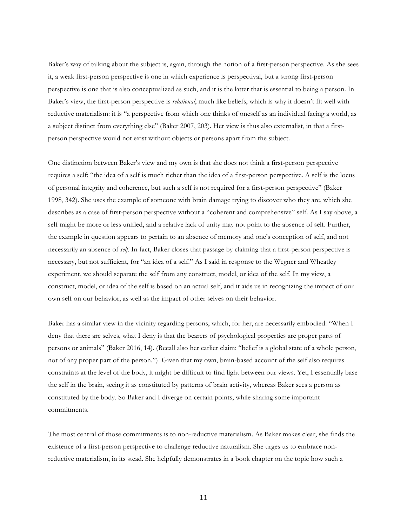Baker's way of talking about the subject is, again, through the notion of a first-person perspective. As she sees it, a weak first-person perspective is one in which experience is perspectival, but a strong first-person perspective is one that is also conceptualized as such, and it is the latter that is essential to being a person. In Baker's view, the first-person perspective is *relational*, much like beliefs, which is why it doesn't fit well with reductive materialism: it is "a perspective from which one thinks of oneself as an individual facing a world, as a subject distinct from everything else" (Baker 2007, 203). Her view is thus also externalist, in that a firstperson perspective would not exist without objects or persons apart from the subject.

One distinction between Baker's view and my own is that she does not think a first-person perspective requires a self: "the idea of a self is much richer than the idea of a first-person perspective. A self is the locus of personal integrity and coherence, but such a self is not required for a first-person perspective" (Baker 1998, 342). She uses the example of someone with brain damage trying to discover who they are, which she describes as a case of first-person perspective without a "coherent and comprehensive" self. As I say above, a self might be more or less unified, and a relative lack of unity may not point to the absence of self. Further, the example in question appears to pertain to an absence of memory and one's conception of self, and not necessarily an absence of *self*. In fact, Baker closes that passage by claiming that a first-person perspective is necessary, but not sufficient, for "an idea of a self." As I said in response to the Wegner and Wheatley experiment, we should separate the self from any construct, model, or idea of the self. In my view, a construct, model, or idea of the self is based on an actual self, and it aids us in recognizing the impact of our own self on our behavior, as well as the impact of other selves on their behavior.

Baker has a similar view in the vicinity regarding persons, which, for her, are necessarily embodied: "When I deny that there are selves, what I deny is that the bearers of psychological properties are proper parts of persons or animals" (Baker 2016, 14). (Recall also her earlier claim: "belief is a global state of a whole person, not of any proper part of the person.") Given that my own, brain-based account of the self also requires constraints at the level of the body, it might be difficult to find light between our views. Yet, I essentially base the self in the brain, seeing it as constituted by patterns of brain activity, whereas Baker sees a person as constituted by the body. So Baker and I diverge on certain points, while sharing some important commitments.

The most central of those commitments is to non-reductive materialism. As Baker makes clear, she finds the existence of a first-person perspective to challenge reductive naturalism. She urges us to embrace nonreductive materialism, in its stead. She helpfully demonstrates in a book chapter on the topic how such a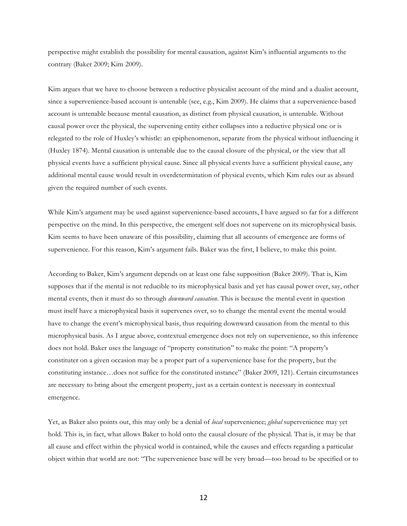perspective might establish the possibility for mental causation, against Kim's influential arguments to the contrary (Baker 2009; Kim 2009).

Kim argues that we have to choose between a reductive physicalist account of the mind and a dualist account, since a supervenience-based account is untenable (see, e.g., Kim 2009). He claims that a supervenience-based account is untenable because mental causation, as distinct from physical causation, is untenable. Without causal power over the physical, the supervening entity either collapses into a reductive physical one or is relegated to the role of Huxley's whistle: an epiphenomenon, separate from the physical without influencing it (Huxley 1874). Mental causation is untenable due to the causal closure of the physical, or the view that all physical events have a sufficient physical cause. Since all physical events have a sufficient physical cause, any additional mental cause would result in overdetermination of physical events, which Kim rules out as absurd given the required number of such events.

While Kim's argument may be used against supervenience-based accounts, I have argued so far for a different perspective on the mind. In this perspective, the emergent self does not supervene on its microphysical basis. Kim seems to have been unaware of this possibility, claiming that all accounts of emergence are forms of supervenience. For this reason, Kim's argument fails. Baker was the first, I believe, to make this point.

According to Baker, Kim's argument depends on at least one false supposition (Baker 2009). That is, Kim supposes that if the mental is not reducible to its microphysical basis and yet has causal power over, say, other mental events, then it must do so through *downward causation*. This is because the mental event in question must itself have a microphysical basis it supervenes over, so to change the mental event the mental would have to change the event's microphysical basis, thus requiring downward causation from the mental to this microphysical basis. As I argue above, contextual emergence does not rely on supervenience, so this inference does not hold. Baker uses the language of "property constitution" to make the point: "A property's constituter on a given occasion may be a proper part of a supervenience base for the property, but the constituting instance…does not suffice for the constituted instance" (Baker 2009, 121). Certain circumstances are necessary to bring about the emergent property, just as a certain context is necessary in contextual emergence.

Yet, as Baker also points out, this may only be a denial of *local* supervenience; *global* supervenience may yet hold. This is, in fact, what allows Baker to hold onto the causal closure of the physical. That is, it may be that all cause and effect within the physical world is contained, while the causes and effects regarding a particular object within that world are not: "The supervenience base will be very broad—too broad to be specified or to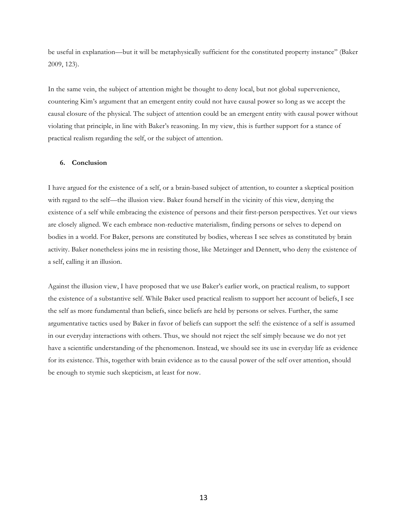be useful in explanation—but it will be metaphysically sufficient for the constituted property instance" (Baker 2009, 123).

In the same vein, the subject of attention might be thought to deny local, but not global supervenience, countering Kim's argument that an emergent entity could not have causal power so long as we accept the causal closure of the physical. The subject of attention could be an emergent entity with causal power without violating that principle, in line with Baker's reasoning. In my view, this is further support for a stance of practical realism regarding the self, or the subject of attention.

## **6. Conclusion**

I have argued for the existence of a self, or a brain-based subject of attention, to counter a skeptical position with regard to the self—the illusion view. Baker found herself in the vicinity of this view, denying the existence of a self while embracing the existence of persons and their first-person perspectives. Yet our views are closely aligned. We each embrace non-reductive materialism, finding persons or selves to depend on bodies in a world. For Baker, persons are constituted by bodies, whereas I see selves as constituted by brain activity. Baker nonetheless joins me in resisting those, like Metzinger and Dennett, who deny the existence of a self, calling it an illusion.

Against the illusion view, I have proposed that we use Baker's earlier work, on practical realism, to support the existence of a substantive self. While Baker used practical realism to support her account of beliefs, I see the self as more fundamental than beliefs, since beliefs are held by persons or selves. Further, the same argumentative tactics used by Baker in favor of beliefs can support the self: the existence of a self is assumed in our everyday interactions with others. Thus, we should not reject the self simply because we do not yet have a scientific understanding of the phenomenon. Instead, we should see its use in everyday life as evidence for its existence. This, together with brain evidence as to the causal power of the self over attention, should be enough to stymie such skepticism, at least for now.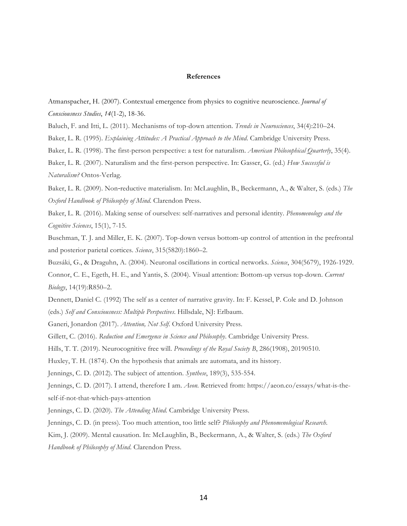## **References**

Atmanspacher, H. (2007). Contextual emergence from physics to cognitive neuroscience. *Journal of Consciousness Studies*, *14*(1-2), 18-36.

Baluch, F. and Itti, L. (2011). Mechanisms of top-down attention. *Trends in Neurosciences*, 34(4):210–24.

Baker, L. R. (1995). *Explaining Attitudes: A Practical Approach to the Mind*. Cambridge University Press.

Baker, L. R. (1998). The first-person perspective: a test for naturalism. *American Philosophical Quarterly*, 35(4).

Baker, L. R. (2007). Naturalism and the first-person perspective. In: Gasser, G. (ed.) *How Successful is Naturalism?* Ontos-Verlag.

Baker, L. R. (2009). Non-reductive materialism. In: McLaughlin, B., Beckermann, A., & Walter, S. (eds.) *The Oxford Handbook of Philosophy of Mind*. Clarendon Press.

Baker, L. R. (2016). Making sense of ourselves: self-narratives and personal identity. *Phenomenology and the Cognitive Sciences*, 15(1), 7-15.

Buschman, T. J. and Miller, E. K. (2007). Top-down versus bottom-up control of attention in the prefrontal and posterior parietal cortices. *Science*, 315(5820):1860–2.

Buzsáki, G., & Draguhn, A. (2004). Neuronal oscillations in cortical networks. *Science*, 304(5679), 1926-1929.

Connor, C. E., Egeth, H. E., and Yantis, S. (2004). Visual attention: Bottom-up versus top-down. *Current Biology*, 14(19):R850–2.

Dennett, Daniel C. (1992) The self as a center of narrative gravity. In: F. Kessel, P. Cole and D. Johnson (eds.) *Self and Consciousness: Multiple Perspectives*. Hillsdale, NJ: Erlbaum.

Ganeri, Jonardon (2017). *Attention, Not Self*. Oxford University Press.

Gillett, C. (2016). *Reduction and Emergence in Science and Philosophy*. Cambridge University Press.

Hills, T. T. (2019). Neurocognitive free will. *Proceedings of the Royal Society B*, 286(1908), 20190510.

Huxley, T. H. (1874). On the hypothesis that animals are automata, and its history.

Jennings, C. D. (2012). The subject of attention. *Synthese*, 189(3), 535-554.

Jennings, C. D. (2017). I attend, therefore I am. *Aeon.* Retrieved from: https://aeon.co/essays/what-is-theself-if-not-that-which-pays-attention

Jennings, C. D. (2020). *The Attending Mind.* Cambridge University Press.

Jennings, C. D. (in press). Too much attention, too little self? *Philosophy and Phenomenological Research*.

Kim, J. (2009). Mental causation. In: McLaughlin, B., Beckermann, A., & Walter, S. (eds.) *The Oxford* 

*Handbook of Philosophy of Mind*. Clarendon Press.